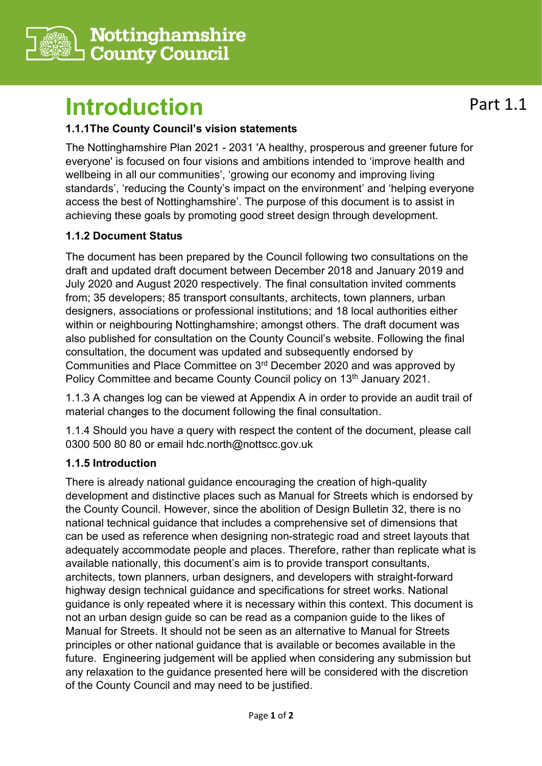

## **Introduction**

## **1.1.1The County Council's vision statements**

The Nottinghamshire Plan 2021 - 2031 'A healthy, prosperous and greener future for everyone' is focused on four visions and ambitions intended to 'improve health and wellbeing in all our communities', 'growing our economy and improving living standards', 'reducing the County's impact on the environment' and 'helping everyone access the best of Nottinghamshire'. The purpose of this document is to assist in achieving these goals by promoting good street design through development.

## **1.1.2 Document Status**

The document has been prepared by the Council following two consultations on the draft and updated draft document between December 2018 and January 2019 and July 2020 and August 2020 respectively. The final consultation invited comments from; 35 developers; 85 transport consultants, architects, town planners, urban designers, associations or professional institutions; and 18 local authorities either within or neighbouring Nottinghamshire; amongst others. The draft document was also published for consultation on the County Council's website. Following the final consultation, the document was updated and subsequently endorsed by Communities and Place Committee on 3<sup>rd</sup> December 2020 and was approved by Policy Committee and became County Council policy on 13<sup>th</sup> January 2021.

1.1.3 A changes log can be viewed at Appendix A in order to provide an audit trail of material changes to the document following the final consultation.

1.1.4 Should you have a query with respect the content of the document, please call 0300 500 80 80 or email hdc.north@nottscc.gov.uk

## **1.1.5 Introduction**

There is already national guidance encouraging the creation of high-quality development and distinctive places such as Manual for Streets which is endorsed by the County Council. However, since the abolition of Design Bulletin 32, there is no national technical guidance that includes a comprehensive set of dimensions that can be used as reference when designing non-strategic road and street layouts that adequately accommodate people and places. Therefore, rather than replicate what is available nationally, this document's aim is to provide transport consultants, architects, town planners, urban designers, and developers with straight-forward highway design technical guidance and specifications for street works. National guidance is only repeated where it is necessary within this context. This document is not an urban design guide so can be read as a companion guide to the likes of Manual for Streets. It should not be seen as an alternative to Manual for Streets principles or other national guidance that is available or becomes available in the future. Engineering judgement will be applied when considering any submission but any relaxation to the guidance presented here will be considered with the discretion of the County Council and may need to be justified.